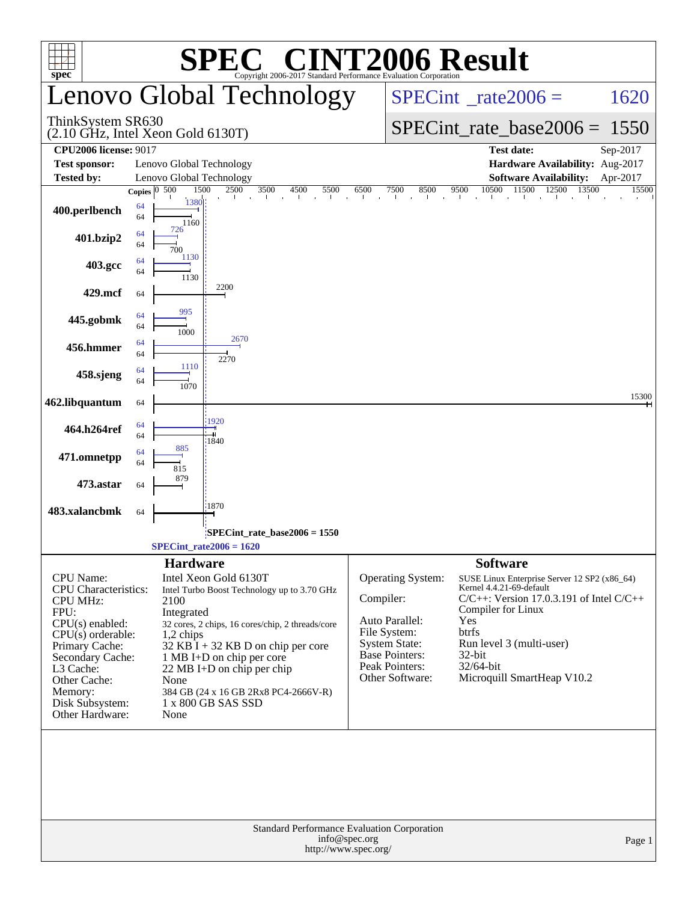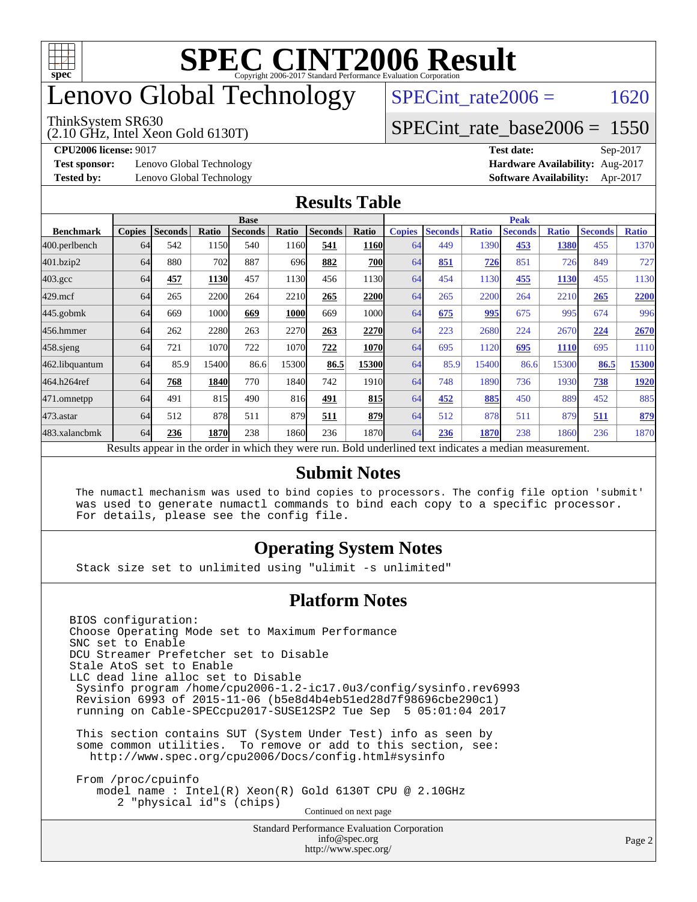

## enovo Global Technology

#### ThinkSystem SR630

(2.10 GHz, Intel Xeon Gold 6130T)

SPECint rate $2006 = 1620$ 

#### [SPECint\\_rate\\_base2006 =](http://www.spec.org/auto/cpu2006/Docs/result-fields.html#SPECintratebase2006) 1550

**[Test sponsor:](http://www.spec.org/auto/cpu2006/Docs/result-fields.html#Testsponsor)** Lenovo Global Technology **[Hardware Availability:](http://www.spec.org/auto/cpu2006/Docs/result-fields.html#HardwareAvailability)** Aug-2017

**[CPU2006 license:](http://www.spec.org/auto/cpu2006/Docs/result-fields.html#CPU2006license)** 9017 **[Test date:](http://www.spec.org/auto/cpu2006/Docs/result-fields.html#Testdate)** Sep-2017 **[Tested by:](http://www.spec.org/auto/cpu2006/Docs/result-fields.html#Testedby)** Lenovo Global Technology **[Software Availability:](http://www.spec.org/auto/cpu2006/Docs/result-fields.html#SoftwareAvailability)** Apr-2017

#### **[Results Table](http://www.spec.org/auto/cpu2006/Docs/result-fields.html#ResultsTable)**

|                    | <b>Base</b>   |                |       |                |       |                |                   | <b>Peak</b>   |                |              |                                                                                                          |              |                |              |
|--------------------|---------------|----------------|-------|----------------|-------|----------------|-------------------|---------------|----------------|--------------|----------------------------------------------------------------------------------------------------------|--------------|----------------|--------------|
| <b>Benchmark</b>   | <b>Copies</b> | <b>Seconds</b> | Ratio | <b>Seconds</b> | Ratio | <b>Seconds</b> | Ratio             | <b>Copies</b> | <b>Seconds</b> | <b>Ratio</b> | <b>Seconds</b>                                                                                           | <b>Ratio</b> | <b>Seconds</b> | <b>Ratio</b> |
| 400.perlbench      | 64            | 542            | 1150  | 540            | 1160  | 541            | <b>1160</b>       | 64            | 449            | 1390         | 453                                                                                                      | 1380         | 455            | 1370         |
| 401.bzip2          | 64            | 880            | 702   | 887            | 696   | 882            | 700               | 64            | 851            | 726          | 851                                                                                                      | 726          | 849            | 727          |
| $403.\mathrm{gcc}$ | 64            | 457            | 1130  | 457            | 1130  | 456            | 1130l             | 64            | 454            | 1130         | 455                                                                                                      | 1130         | 455            | 1130         |
| $429$ .mcf         | 64            | 265            | 2200  | 264            | 2210  | 265            | 2200              | 64            | 265            | 2200         | 264                                                                                                      | 2210         | 265            | 2200         |
| $445$ .gobmk       | 64            | 669            | 1000  | 669            | 1000  | 669            | 1000l             | 64            | 675            | 995          | 675                                                                                                      | 995          | 674            | 996          |
| 456.hmmer          | 64            | 262            | 2280  | 263            | 2270  | 263            | 2270              | 64            | 223            | 2680         | 224                                                                                                      | 2670         | 224            | 2670         |
| $458$ .sjeng       | 64            | 721            | 1070  | 722            | 1070  | 722            | <b>1070</b>       | 64            | 695            | 1120         | 695                                                                                                      | <b>1110</b>  | 695            | 1110         |
| 462.libquantum     | 64            | 85.9           | 15400 | 86.6           | 15300 | 86.5           | 15300             | 64            | 85.9           | 15400        | 86.6                                                                                                     | 15300        | 86.5           | 15300        |
| 464.h264ref        | 64            | 768            | 1840  | 770            | 1840  | 742            | 1910 <sub>l</sub> | 64            | 748            | 1890         | 736                                                                                                      | 1930         | 738            | 1920         |
| 471.omnetpp        | 64            | 491            | 815   | 490            | 816   | 491            | 815               | 64            | 452            | 885          | 450                                                                                                      | 889          | 452            | 885          |
| 473.astar          | 64            | 512            | 878   | 511            | 879   | 511            | 879               | 64            | 512            | 878          | 511                                                                                                      | 879          | 511            | 879          |
| 483.xalancbmk      | 64            | 236            | 1870  | 238            | 1860  | 236            | 1870              | 64            | 236            | 1870         | 238                                                                                                      | 1860         | 236            | 1870         |
|                    |               |                |       |                |       |                |                   |               |                |              | Results appear in the order in which they were run. Bold underlined text indicates a median measurement. |              |                |              |

#### **[Submit Notes](http://www.spec.org/auto/cpu2006/Docs/result-fields.html#SubmitNotes)**

 The numactl mechanism was used to bind copies to processors. The config file option 'submit' was used to generate numactl commands to bind each copy to a specific processor. For details, please see the config file.

#### **[Operating System Notes](http://www.spec.org/auto/cpu2006/Docs/result-fields.html#OperatingSystemNotes)**

Stack size set to unlimited using "ulimit -s unlimited"

#### **[Platform Notes](http://www.spec.org/auto/cpu2006/Docs/result-fields.html#PlatformNotes)**

<http://www.spec.org/>

Standard Performance Evaluation Corporation [info@spec.org](mailto:info@spec.org) BIOS configuration: Choose Operating Mode set to Maximum Performance SNC set to Enable DCU Streamer Prefetcher set to Disable Stale AtoS set to Enable LLC dead line alloc set to Disable Sysinfo program /home/cpu2006-1.2-ic17.0u3/config/sysinfo.rev6993 Revision 6993 of 2015-11-06 (b5e8d4b4eb51ed28d7f98696cbe290c1) running on Cable-SPECcpu2017-SUSE12SP2 Tue Sep 5 05:01:04 2017 This section contains SUT (System Under Test) info as seen by some common utilities. To remove or add to this section, see: <http://www.spec.org/cpu2006/Docs/config.html#sysinfo> From /proc/cpuinfo model name : Intel(R) Xeon(R) Gold 6130T CPU @ 2.10GHz 2 "physical id"s (chips) Continued on next page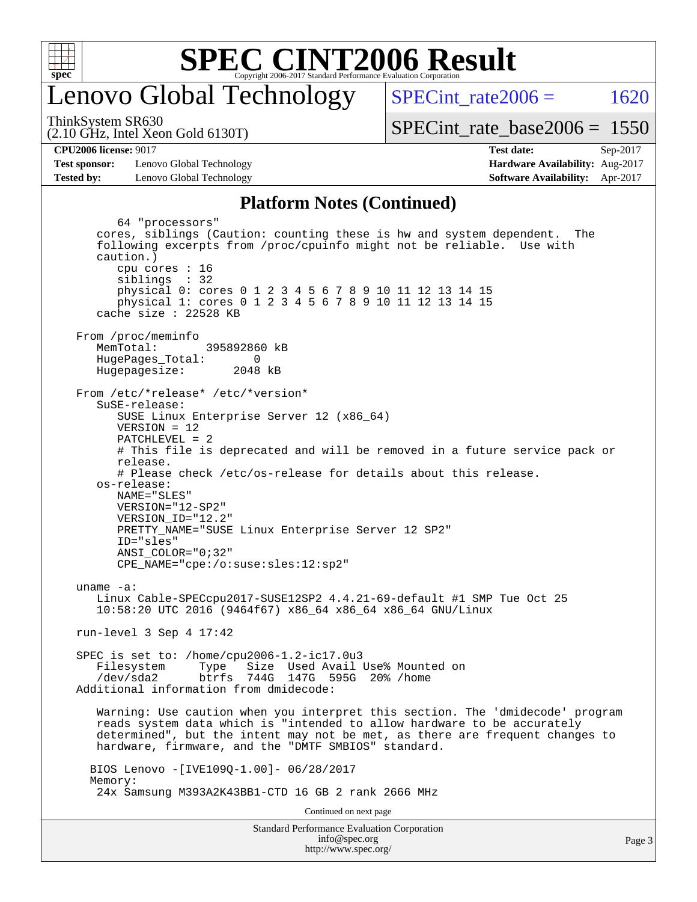

### enovo Global Technology

SPECint rate $2006 = 1620$ 

(2.10 GHz, Intel Xeon Gold 6130T) ThinkSystem SR630

[SPECint\\_rate\\_base2006 =](http://www.spec.org/auto/cpu2006/Docs/result-fields.html#SPECintratebase2006) 1550

**[CPU2006 license:](http://www.spec.org/auto/cpu2006/Docs/result-fields.html#CPU2006license)** 9017 **[Test date:](http://www.spec.org/auto/cpu2006/Docs/result-fields.html#Testdate)** Sep-2017

**[Test sponsor:](http://www.spec.org/auto/cpu2006/Docs/result-fields.html#Testsponsor)** Lenovo Global Technology **[Hardware Availability:](http://www.spec.org/auto/cpu2006/Docs/result-fields.html#HardwareAvailability)** Aug-2017 **[Tested by:](http://www.spec.org/auto/cpu2006/Docs/result-fields.html#Testedby)** Lenovo Global Technology **[Software Availability:](http://www.spec.org/auto/cpu2006/Docs/result-fields.html#SoftwareAvailability)** Apr-2017

### **[Platform Notes \(Continued\)](http://www.spec.org/auto/cpu2006/Docs/result-fields.html#PlatformNotes)**

Standard Performance Evaluation Corporation 64 "processors" cores, siblings (Caution: counting these is hw and system dependent. The following excerpts from /proc/cpuinfo might not be reliable. Use with caution.) cpu cores : 16 siblings : 32 physical 0: cores 0 1 2 3 4 5 6 7 8 9 10 11 12 13 14 15 physical 1: cores 0 1 2 3 4 5 6 7 8 9 10 11 12 13 14 15 cache size : 22528 KB From /proc/meminfo MemTotal: 395892860 kB HugePages\_Total: 0<br>Hugepagesize: 2048 kB Hugepagesize: From /etc/\*release\* /etc/\*version\* SuSE-release: SUSE Linux Enterprise Server 12 (x86\_64) VERSION = 12 PATCHLEVEL = 2 # This file is deprecated and will be removed in a future service pack or release. # Please check /etc/os-release for details about this release. os-release: NAME="SLES" VERSION="12-SP2" VERSION\_ID="12.2" PRETTY\_NAME="SUSE Linux Enterprise Server 12 SP2" ID="sles" ANSI\_COLOR="0;32" CPE\_NAME="cpe:/o:suse:sles:12:sp2" uname -a: Linux Cable-SPECcpu2017-SUSE12SP2 4.4.21-69-default #1 SMP Tue Oct 25 10:58:20 UTC 2016 (9464f67) x86\_64 x86\_64 x86\_64 GNU/Linux run-level 3 Sep 4 17:42 SPEC is set to: /home/cpu2006-1.2-ic17.0u3 Filesystem Type Size Used Avail Use% Mounted on /dev/sda2 btrfs 744G 147G 595G 20% /home Additional information from dmidecode: Warning: Use caution when you interpret this section. The 'dmidecode' program reads system data which is "intended to allow hardware to be accurately determined", but the intent may not be met, as there are frequent changes to hardware, firmware, and the "DMTF SMBIOS" standard. BIOS Lenovo -[IVE109Q-1.00]- 06/28/2017 Memory: 24x Samsung M393A2K43BB1-CTD 16 GB 2 rank 2666 MHz Continued on next page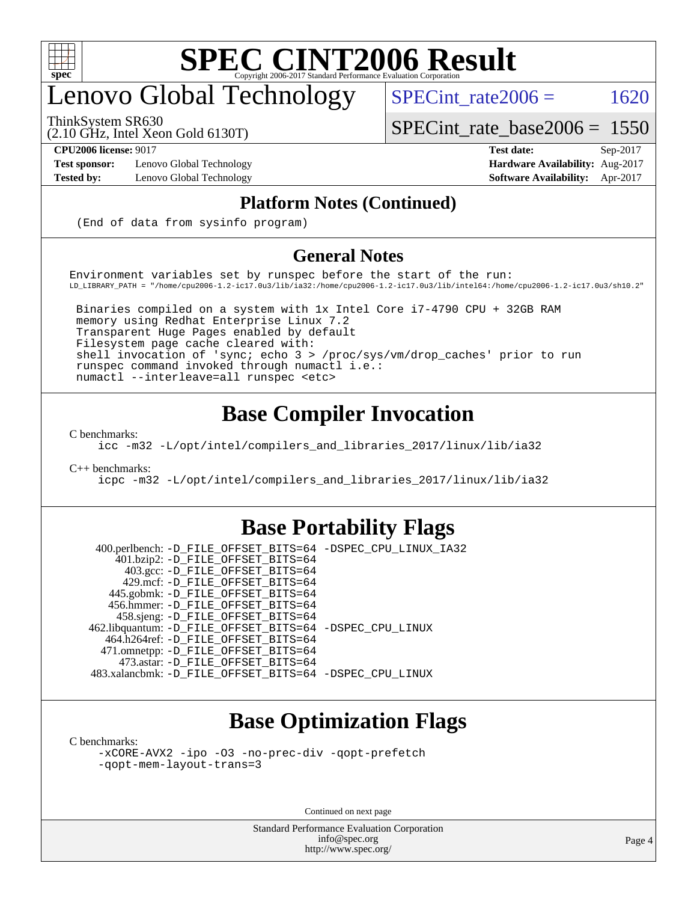

## enovo Global Technology

ThinkSystem SR630

SPECint rate $2006 = 1620$ 

[SPECint\\_rate\\_base2006 =](http://www.spec.org/auto/cpu2006/Docs/result-fields.html#SPECintratebase2006) 1550

(2.10 GHz, Intel Xeon Gold 6130T)

**[Test sponsor:](http://www.spec.org/auto/cpu2006/Docs/result-fields.html#Testsponsor)** Lenovo Global Technology **[Hardware Availability:](http://www.spec.org/auto/cpu2006/Docs/result-fields.html#HardwareAvailability)** Aug-2017

**[CPU2006 license:](http://www.spec.org/auto/cpu2006/Docs/result-fields.html#CPU2006license)** 9017 **[Test date:](http://www.spec.org/auto/cpu2006/Docs/result-fields.html#Testdate)** Sep-2017 **[Tested by:](http://www.spec.org/auto/cpu2006/Docs/result-fields.html#Testedby)** Lenovo Global Technology **[Software Availability:](http://www.spec.org/auto/cpu2006/Docs/result-fields.html#SoftwareAvailability)** Apr-2017

#### **[Platform Notes \(Continued\)](http://www.spec.org/auto/cpu2006/Docs/result-fields.html#PlatformNotes)**

(End of data from sysinfo program)

#### **[General Notes](http://www.spec.org/auto/cpu2006/Docs/result-fields.html#GeneralNotes)**

Environment variables set by runspec before the start of the run: LD\_LIBRARY\_PATH = "/home/cpu2006-1.2-ic17.0u3/lib/ia32:/home/cpu2006-1.2-ic17.0u3/lib/intel64:/home/cpu2006-1.2-ic17.0u3/sh10.2"

 Binaries compiled on a system with 1x Intel Core i7-4790 CPU + 32GB RAM memory using Redhat Enterprise Linux 7.2 Transparent Huge Pages enabled by default Filesystem page cache cleared with: shell invocation of 'sync; echo 3 > /proc/sys/vm/drop\_caches' prior to run runspec command invoked through numactl i.e.: numactl --interleave=all runspec <etc>

#### **[Base Compiler Invocation](http://www.spec.org/auto/cpu2006/Docs/result-fields.html#BaseCompilerInvocation)**

[C benchmarks](http://www.spec.org/auto/cpu2006/Docs/result-fields.html#Cbenchmarks):

[icc -m32 -L/opt/intel/compilers\\_and\\_libraries\\_2017/linux/lib/ia32](http://www.spec.org/cpu2006/results/res2017q4/cpu2006-20170918-49540.flags.html#user_CCbase_intel_icc_c29f3ff5a7ed067b11e4ec10a03f03ae)

[C++ benchmarks:](http://www.spec.org/auto/cpu2006/Docs/result-fields.html#CXXbenchmarks)

[icpc -m32 -L/opt/intel/compilers\\_and\\_libraries\\_2017/linux/lib/ia32](http://www.spec.org/cpu2006/results/res2017q4/cpu2006-20170918-49540.flags.html#user_CXXbase_intel_icpc_8c35c7808b62dab9ae41a1aa06361b6b)

#### **[Base Portability Flags](http://www.spec.org/auto/cpu2006/Docs/result-fields.html#BasePortabilityFlags)**

 400.perlbench: [-D\\_FILE\\_OFFSET\\_BITS=64](http://www.spec.org/cpu2006/results/res2017q4/cpu2006-20170918-49540.flags.html#user_basePORTABILITY400_perlbench_file_offset_bits_64_438cf9856305ebd76870a2c6dc2689ab) [-DSPEC\\_CPU\\_LINUX\\_IA32](http://www.spec.org/cpu2006/results/res2017q4/cpu2006-20170918-49540.flags.html#b400.perlbench_baseCPORTABILITY_DSPEC_CPU_LINUX_IA32) 401.bzip2: [-D\\_FILE\\_OFFSET\\_BITS=64](http://www.spec.org/cpu2006/results/res2017q4/cpu2006-20170918-49540.flags.html#user_basePORTABILITY401_bzip2_file_offset_bits_64_438cf9856305ebd76870a2c6dc2689ab) 403.gcc: [-D\\_FILE\\_OFFSET\\_BITS=64](http://www.spec.org/cpu2006/results/res2017q4/cpu2006-20170918-49540.flags.html#user_basePORTABILITY403_gcc_file_offset_bits_64_438cf9856305ebd76870a2c6dc2689ab) 429.mcf: [-D\\_FILE\\_OFFSET\\_BITS=64](http://www.spec.org/cpu2006/results/res2017q4/cpu2006-20170918-49540.flags.html#user_basePORTABILITY429_mcf_file_offset_bits_64_438cf9856305ebd76870a2c6dc2689ab) 445.gobmk: [-D\\_FILE\\_OFFSET\\_BITS=64](http://www.spec.org/cpu2006/results/res2017q4/cpu2006-20170918-49540.flags.html#user_basePORTABILITY445_gobmk_file_offset_bits_64_438cf9856305ebd76870a2c6dc2689ab) 456.hmmer: [-D\\_FILE\\_OFFSET\\_BITS=64](http://www.spec.org/cpu2006/results/res2017q4/cpu2006-20170918-49540.flags.html#user_basePORTABILITY456_hmmer_file_offset_bits_64_438cf9856305ebd76870a2c6dc2689ab) 458.sjeng: [-D\\_FILE\\_OFFSET\\_BITS=64](http://www.spec.org/cpu2006/results/res2017q4/cpu2006-20170918-49540.flags.html#user_basePORTABILITY458_sjeng_file_offset_bits_64_438cf9856305ebd76870a2c6dc2689ab) 462.libquantum: [-D\\_FILE\\_OFFSET\\_BITS=64](http://www.spec.org/cpu2006/results/res2017q4/cpu2006-20170918-49540.flags.html#user_basePORTABILITY462_libquantum_file_offset_bits_64_438cf9856305ebd76870a2c6dc2689ab) [-DSPEC\\_CPU\\_LINUX](http://www.spec.org/cpu2006/results/res2017q4/cpu2006-20170918-49540.flags.html#b462.libquantum_baseCPORTABILITY_DSPEC_CPU_LINUX) 464.h264ref: [-D\\_FILE\\_OFFSET\\_BITS=64](http://www.spec.org/cpu2006/results/res2017q4/cpu2006-20170918-49540.flags.html#user_basePORTABILITY464_h264ref_file_offset_bits_64_438cf9856305ebd76870a2c6dc2689ab) 471.omnetpp: [-D\\_FILE\\_OFFSET\\_BITS=64](http://www.spec.org/cpu2006/results/res2017q4/cpu2006-20170918-49540.flags.html#user_basePORTABILITY471_omnetpp_file_offset_bits_64_438cf9856305ebd76870a2c6dc2689ab) 473.astar: [-D\\_FILE\\_OFFSET\\_BITS=64](http://www.spec.org/cpu2006/results/res2017q4/cpu2006-20170918-49540.flags.html#user_basePORTABILITY473_astar_file_offset_bits_64_438cf9856305ebd76870a2c6dc2689ab) 483.xalancbmk: [-D\\_FILE\\_OFFSET\\_BITS=64](http://www.spec.org/cpu2006/results/res2017q4/cpu2006-20170918-49540.flags.html#user_basePORTABILITY483_xalancbmk_file_offset_bits_64_438cf9856305ebd76870a2c6dc2689ab) [-DSPEC\\_CPU\\_LINUX](http://www.spec.org/cpu2006/results/res2017q4/cpu2006-20170918-49540.flags.html#b483.xalancbmk_baseCXXPORTABILITY_DSPEC_CPU_LINUX)

#### **[Base Optimization Flags](http://www.spec.org/auto/cpu2006/Docs/result-fields.html#BaseOptimizationFlags)**

[C benchmarks](http://www.spec.org/auto/cpu2006/Docs/result-fields.html#Cbenchmarks):

[-xCORE-AVX2](http://www.spec.org/cpu2006/results/res2017q4/cpu2006-20170918-49540.flags.html#user_CCbase_f-xCORE-AVX2) [-ipo](http://www.spec.org/cpu2006/results/res2017q4/cpu2006-20170918-49540.flags.html#user_CCbase_f-ipo) [-O3](http://www.spec.org/cpu2006/results/res2017q4/cpu2006-20170918-49540.flags.html#user_CCbase_f-O3) [-no-prec-div](http://www.spec.org/cpu2006/results/res2017q4/cpu2006-20170918-49540.flags.html#user_CCbase_f-no-prec-div) [-qopt-prefetch](http://www.spec.org/cpu2006/results/res2017q4/cpu2006-20170918-49540.flags.html#user_CCbase_f-qopt-prefetch) [-qopt-mem-layout-trans=3](http://www.spec.org/cpu2006/results/res2017q4/cpu2006-20170918-49540.flags.html#user_CCbase_f-qopt-mem-layout-trans_170f5be61cd2cedc9b54468c59262d5d)

Continued on next page

Standard Performance Evaluation Corporation [info@spec.org](mailto:info@spec.org) <http://www.spec.org/>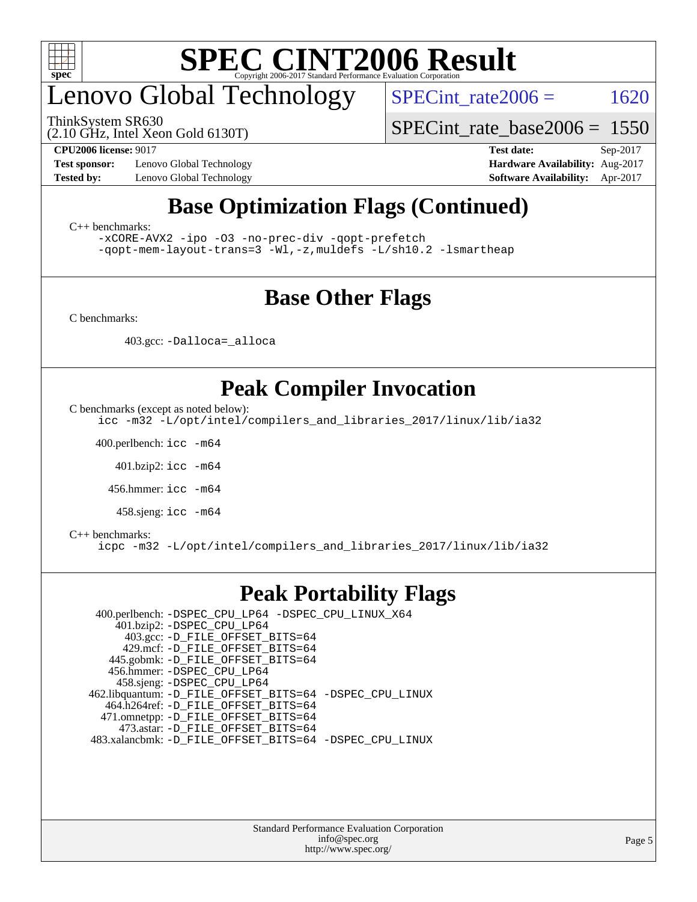

## enovo Global Technology

ThinkSystem SR630

SPECint rate $2006 = 1620$ 

(2.10 GHz, Intel Xeon Gold 6130T)

[SPECint\\_rate\\_base2006 =](http://www.spec.org/auto/cpu2006/Docs/result-fields.html#SPECintratebase2006) 1550

**[Test sponsor:](http://www.spec.org/auto/cpu2006/Docs/result-fields.html#Testsponsor)** Lenovo Global Technology **[Hardware Availability:](http://www.spec.org/auto/cpu2006/Docs/result-fields.html#HardwareAvailability)** Aug-2017

**[CPU2006 license:](http://www.spec.org/auto/cpu2006/Docs/result-fields.html#CPU2006license)** 9017 **[Test date:](http://www.spec.org/auto/cpu2006/Docs/result-fields.html#Testdate)** Sep-2017 **[Tested by:](http://www.spec.org/auto/cpu2006/Docs/result-fields.html#Testedby)** Lenovo Global Technology **[Software Availability:](http://www.spec.org/auto/cpu2006/Docs/result-fields.html#SoftwareAvailability)** Apr-2017

### **[Base Optimization Flags \(Continued\)](http://www.spec.org/auto/cpu2006/Docs/result-fields.html#BaseOptimizationFlags)**

[C++ benchmarks:](http://www.spec.org/auto/cpu2006/Docs/result-fields.html#CXXbenchmarks)

[-xCORE-AVX2](http://www.spec.org/cpu2006/results/res2017q4/cpu2006-20170918-49540.flags.html#user_CXXbase_f-xCORE-AVX2) [-ipo](http://www.spec.org/cpu2006/results/res2017q4/cpu2006-20170918-49540.flags.html#user_CXXbase_f-ipo) [-O3](http://www.spec.org/cpu2006/results/res2017q4/cpu2006-20170918-49540.flags.html#user_CXXbase_f-O3) [-no-prec-div](http://www.spec.org/cpu2006/results/res2017q4/cpu2006-20170918-49540.flags.html#user_CXXbase_f-no-prec-div) [-qopt-prefetch](http://www.spec.org/cpu2006/results/res2017q4/cpu2006-20170918-49540.flags.html#user_CXXbase_f-qopt-prefetch) [-qopt-mem-layout-trans=3](http://www.spec.org/cpu2006/results/res2017q4/cpu2006-20170918-49540.flags.html#user_CXXbase_f-qopt-mem-layout-trans_170f5be61cd2cedc9b54468c59262d5d) [-Wl,-z,muldefs](http://www.spec.org/cpu2006/results/res2017q4/cpu2006-20170918-49540.flags.html#user_CXXbase_link_force_multiple1_74079c344b956b9658436fd1b6dd3a8a) [-L/sh10.2 -lsmartheap](http://www.spec.org/cpu2006/results/res2017q4/cpu2006-20170918-49540.flags.html#user_CXXbase_SmartHeap_b831f2d313e2fffa6dfe3f00ffc1f1c0)

#### **[Base Other Flags](http://www.spec.org/auto/cpu2006/Docs/result-fields.html#BaseOtherFlags)**

[C benchmarks](http://www.spec.org/auto/cpu2006/Docs/result-fields.html#Cbenchmarks):

403.gcc: [-Dalloca=\\_alloca](http://www.spec.org/cpu2006/results/res2017q4/cpu2006-20170918-49540.flags.html#b403.gcc_baseEXTRA_CFLAGS_Dalloca_be3056838c12de2578596ca5467af7f3)

#### **[Peak Compiler Invocation](http://www.spec.org/auto/cpu2006/Docs/result-fields.html#PeakCompilerInvocation)**

[C benchmarks \(except as noted below\)](http://www.spec.org/auto/cpu2006/Docs/result-fields.html#Cbenchmarksexceptasnotedbelow):

[icc -m32 -L/opt/intel/compilers\\_and\\_libraries\\_2017/linux/lib/ia32](http://www.spec.org/cpu2006/results/res2017q4/cpu2006-20170918-49540.flags.html#user_CCpeak_intel_icc_c29f3ff5a7ed067b11e4ec10a03f03ae)

400.perlbench: [icc -m64](http://www.spec.org/cpu2006/results/res2017q4/cpu2006-20170918-49540.flags.html#user_peakCCLD400_perlbench_intel_icc_64bit_bda6cc9af1fdbb0edc3795bac97ada53)

401.bzip2: [icc -m64](http://www.spec.org/cpu2006/results/res2017q4/cpu2006-20170918-49540.flags.html#user_peakCCLD401_bzip2_intel_icc_64bit_bda6cc9af1fdbb0edc3795bac97ada53)

456.hmmer: [icc -m64](http://www.spec.org/cpu2006/results/res2017q4/cpu2006-20170918-49540.flags.html#user_peakCCLD456_hmmer_intel_icc_64bit_bda6cc9af1fdbb0edc3795bac97ada53)

458.sjeng: [icc -m64](http://www.spec.org/cpu2006/results/res2017q4/cpu2006-20170918-49540.flags.html#user_peakCCLD458_sjeng_intel_icc_64bit_bda6cc9af1fdbb0edc3795bac97ada53)

#### [C++ benchmarks:](http://www.spec.org/auto/cpu2006/Docs/result-fields.html#CXXbenchmarks)

[icpc -m32 -L/opt/intel/compilers\\_and\\_libraries\\_2017/linux/lib/ia32](http://www.spec.org/cpu2006/results/res2017q4/cpu2006-20170918-49540.flags.html#user_CXXpeak_intel_icpc_8c35c7808b62dab9ae41a1aa06361b6b)

#### **[Peak Portability Flags](http://www.spec.org/auto/cpu2006/Docs/result-fields.html#PeakPortabilityFlags)**

 400.perlbench: [-DSPEC\\_CPU\\_LP64](http://www.spec.org/cpu2006/results/res2017q4/cpu2006-20170918-49540.flags.html#b400.perlbench_peakCPORTABILITY_DSPEC_CPU_LP64) [-DSPEC\\_CPU\\_LINUX\\_X64](http://www.spec.org/cpu2006/results/res2017q4/cpu2006-20170918-49540.flags.html#b400.perlbench_peakCPORTABILITY_DSPEC_CPU_LINUX_X64) 401.bzip2: [-DSPEC\\_CPU\\_LP64](http://www.spec.org/cpu2006/results/res2017q4/cpu2006-20170918-49540.flags.html#suite_peakCPORTABILITY401_bzip2_DSPEC_CPU_LP64) 403.gcc: [-D\\_FILE\\_OFFSET\\_BITS=64](http://www.spec.org/cpu2006/results/res2017q4/cpu2006-20170918-49540.flags.html#user_peakPORTABILITY403_gcc_file_offset_bits_64_438cf9856305ebd76870a2c6dc2689ab) 429.mcf: [-D\\_FILE\\_OFFSET\\_BITS=64](http://www.spec.org/cpu2006/results/res2017q4/cpu2006-20170918-49540.flags.html#user_peakPORTABILITY429_mcf_file_offset_bits_64_438cf9856305ebd76870a2c6dc2689ab) 445.gobmk: [-D\\_FILE\\_OFFSET\\_BITS=64](http://www.spec.org/cpu2006/results/res2017q4/cpu2006-20170918-49540.flags.html#user_peakPORTABILITY445_gobmk_file_offset_bits_64_438cf9856305ebd76870a2c6dc2689ab) 456.hmmer: [-DSPEC\\_CPU\\_LP64](http://www.spec.org/cpu2006/results/res2017q4/cpu2006-20170918-49540.flags.html#suite_peakCPORTABILITY456_hmmer_DSPEC_CPU_LP64) 458.sjeng: [-DSPEC\\_CPU\\_LP64](http://www.spec.org/cpu2006/results/res2017q4/cpu2006-20170918-49540.flags.html#suite_peakCPORTABILITY458_sjeng_DSPEC_CPU_LP64) 462.libquantum: [-D\\_FILE\\_OFFSET\\_BITS=64](http://www.spec.org/cpu2006/results/res2017q4/cpu2006-20170918-49540.flags.html#user_peakPORTABILITY462_libquantum_file_offset_bits_64_438cf9856305ebd76870a2c6dc2689ab) [-DSPEC\\_CPU\\_LINUX](http://www.spec.org/cpu2006/results/res2017q4/cpu2006-20170918-49540.flags.html#b462.libquantum_peakCPORTABILITY_DSPEC_CPU_LINUX) 464.h264ref: [-D\\_FILE\\_OFFSET\\_BITS=64](http://www.spec.org/cpu2006/results/res2017q4/cpu2006-20170918-49540.flags.html#user_peakPORTABILITY464_h264ref_file_offset_bits_64_438cf9856305ebd76870a2c6dc2689ab) 471.omnetpp: [-D\\_FILE\\_OFFSET\\_BITS=64](http://www.spec.org/cpu2006/results/res2017q4/cpu2006-20170918-49540.flags.html#user_peakPORTABILITY471_omnetpp_file_offset_bits_64_438cf9856305ebd76870a2c6dc2689ab) 473.astar: [-D\\_FILE\\_OFFSET\\_BITS=64](http://www.spec.org/cpu2006/results/res2017q4/cpu2006-20170918-49540.flags.html#user_peakPORTABILITY473_astar_file_offset_bits_64_438cf9856305ebd76870a2c6dc2689ab) 483.xalancbmk: [-D\\_FILE\\_OFFSET\\_BITS=64](http://www.spec.org/cpu2006/results/res2017q4/cpu2006-20170918-49540.flags.html#user_peakPORTABILITY483_xalancbmk_file_offset_bits_64_438cf9856305ebd76870a2c6dc2689ab) [-DSPEC\\_CPU\\_LINUX](http://www.spec.org/cpu2006/results/res2017q4/cpu2006-20170918-49540.flags.html#b483.xalancbmk_peakCXXPORTABILITY_DSPEC_CPU_LINUX)

> Standard Performance Evaluation Corporation [info@spec.org](mailto:info@spec.org) <http://www.spec.org/>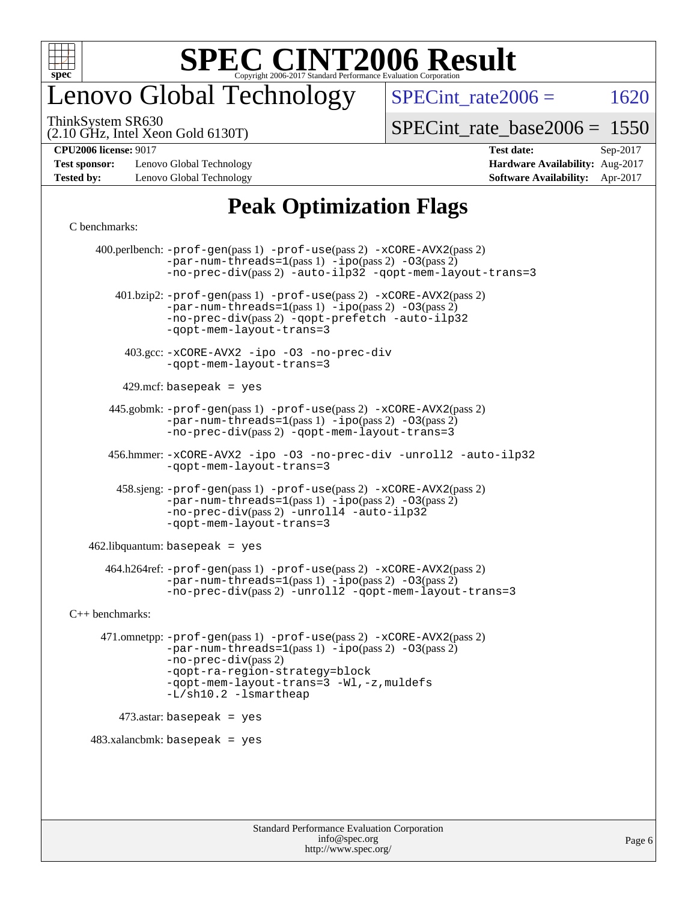

### enovo Global Technology

SPECint rate $2006 = 1620$ 

(2.10 GHz, Intel Xeon Gold 6130T) ThinkSystem SR630

[SPECint\\_rate\\_base2006 =](http://www.spec.org/auto/cpu2006/Docs/result-fields.html#SPECintratebase2006) 1550

**[Test sponsor:](http://www.spec.org/auto/cpu2006/Docs/result-fields.html#Testsponsor)** Lenovo Global Technology **[Hardware Availability:](http://www.spec.org/auto/cpu2006/Docs/result-fields.html#HardwareAvailability)** Aug-2017 **[Tested by:](http://www.spec.org/auto/cpu2006/Docs/result-fields.html#Testedby)** Lenovo Global Technology **[Software Availability:](http://www.spec.org/auto/cpu2006/Docs/result-fields.html#SoftwareAvailability)** Apr-2017

**[CPU2006 license:](http://www.spec.org/auto/cpu2006/Docs/result-fields.html#CPU2006license)** 9017 **[Test date:](http://www.spec.org/auto/cpu2006/Docs/result-fields.html#Testdate)** Sep-2017

### **[Peak Optimization Flags](http://www.spec.org/auto/cpu2006/Docs/result-fields.html#PeakOptimizationFlags)**

#### [C benchmarks](http://www.spec.org/auto/cpu2006/Docs/result-fields.html#Cbenchmarks):

 400.perlbench: [-prof-gen](http://www.spec.org/cpu2006/results/res2017q4/cpu2006-20170918-49540.flags.html#user_peakPASS1_CFLAGSPASS1_LDCFLAGS400_perlbench_prof_gen_e43856698f6ca7b7e442dfd80e94a8fc)(pass 1) [-prof-use](http://www.spec.org/cpu2006/results/res2017q4/cpu2006-20170918-49540.flags.html#user_peakPASS2_CFLAGSPASS2_LDCFLAGS400_perlbench_prof_use_bccf7792157ff70d64e32fe3e1250b55)(pass 2) [-xCORE-AVX2](http://www.spec.org/cpu2006/results/res2017q4/cpu2006-20170918-49540.flags.html#user_peakPASS2_CFLAGSPASS2_LDCFLAGS400_perlbench_f-xCORE-AVX2)(pass 2)  $-par-num-threads=1(pass 1) -ipo(pass 2) -O3(pass 2)$  $-par-num-threads=1(pass 1) -ipo(pass 2) -O3(pass 2)$  $-par-num-threads=1(pass 1) -ipo(pass 2) -O3(pass 2)$  $-par-num-threads=1(pass 1) -ipo(pass 2) -O3(pass 2)$  $-par-num-threads=1(pass 1) -ipo(pass 2) -O3(pass 2)$  $-par-num-threads=1(pass 1) -ipo(pass 2) -O3(pass 2)$ [-no-prec-div](http://www.spec.org/cpu2006/results/res2017q4/cpu2006-20170918-49540.flags.html#user_peakPASS2_CFLAGSPASS2_LDCFLAGS400_perlbench_f-no-prec-div)(pass 2) [-auto-ilp32](http://www.spec.org/cpu2006/results/res2017q4/cpu2006-20170918-49540.flags.html#user_peakCOPTIMIZE400_perlbench_f-auto-ilp32) [-qopt-mem-layout-trans=3](http://www.spec.org/cpu2006/results/res2017q4/cpu2006-20170918-49540.flags.html#user_peakCOPTIMIZE400_perlbench_f-qopt-mem-layout-trans_170f5be61cd2cedc9b54468c59262d5d) 401.bzip2: [-prof-gen](http://www.spec.org/cpu2006/results/res2017q4/cpu2006-20170918-49540.flags.html#user_peakPASS1_CFLAGSPASS1_LDCFLAGS401_bzip2_prof_gen_e43856698f6ca7b7e442dfd80e94a8fc)(pass 1) [-prof-use](http://www.spec.org/cpu2006/results/res2017q4/cpu2006-20170918-49540.flags.html#user_peakPASS2_CFLAGSPASS2_LDCFLAGS401_bzip2_prof_use_bccf7792157ff70d64e32fe3e1250b55)(pass 2) [-xCORE-AVX2](http://www.spec.org/cpu2006/results/res2017q4/cpu2006-20170918-49540.flags.html#user_peakPASS2_CFLAGSPASS2_LDCFLAGS401_bzip2_f-xCORE-AVX2)(pass 2) [-par-num-threads=1](http://www.spec.org/cpu2006/results/res2017q4/cpu2006-20170918-49540.flags.html#user_peakPASS1_CFLAGSPASS1_LDCFLAGS401_bzip2_par_num_threads_786a6ff141b4e9e90432e998842df6c2)(pass 1) [-ipo](http://www.spec.org/cpu2006/results/res2017q4/cpu2006-20170918-49540.flags.html#user_peakPASS2_CFLAGSPASS2_LDCFLAGS401_bzip2_f-ipo)(pass 2) [-O3](http://www.spec.org/cpu2006/results/res2017q4/cpu2006-20170918-49540.flags.html#user_peakPASS2_CFLAGSPASS2_LDCFLAGS401_bzip2_f-O3)(pass 2) [-no-prec-div](http://www.spec.org/cpu2006/results/res2017q4/cpu2006-20170918-49540.flags.html#user_peakPASS2_CFLAGSPASS2_LDCFLAGS401_bzip2_f-no-prec-div)(pass 2) [-qopt-prefetch](http://www.spec.org/cpu2006/results/res2017q4/cpu2006-20170918-49540.flags.html#user_peakCOPTIMIZE401_bzip2_f-qopt-prefetch) [-auto-ilp32](http://www.spec.org/cpu2006/results/res2017q4/cpu2006-20170918-49540.flags.html#user_peakCOPTIMIZE401_bzip2_f-auto-ilp32) [-qopt-mem-layout-trans=3](http://www.spec.org/cpu2006/results/res2017q4/cpu2006-20170918-49540.flags.html#user_peakCOPTIMIZE401_bzip2_f-qopt-mem-layout-trans_170f5be61cd2cedc9b54468c59262d5d) 403.gcc: [-xCORE-AVX2](http://www.spec.org/cpu2006/results/res2017q4/cpu2006-20170918-49540.flags.html#user_peakOPTIMIZE403_gcc_f-xCORE-AVX2) [-ipo](http://www.spec.org/cpu2006/results/res2017q4/cpu2006-20170918-49540.flags.html#user_peakOPTIMIZE403_gcc_f-ipo) [-O3](http://www.spec.org/cpu2006/results/res2017q4/cpu2006-20170918-49540.flags.html#user_peakOPTIMIZE403_gcc_f-O3) [-no-prec-div](http://www.spec.org/cpu2006/results/res2017q4/cpu2006-20170918-49540.flags.html#user_peakOPTIMIZE403_gcc_f-no-prec-div) [-qopt-mem-layout-trans=3](http://www.spec.org/cpu2006/results/res2017q4/cpu2006-20170918-49540.flags.html#user_peakCOPTIMIZE403_gcc_f-qopt-mem-layout-trans_170f5be61cd2cedc9b54468c59262d5d)  $429$ .mcf: basepeak = yes 445.gobmk: [-prof-gen](http://www.spec.org/cpu2006/results/res2017q4/cpu2006-20170918-49540.flags.html#user_peakPASS1_CFLAGSPASS1_LDCFLAGS445_gobmk_prof_gen_e43856698f6ca7b7e442dfd80e94a8fc)(pass 1) [-prof-use](http://www.spec.org/cpu2006/results/res2017q4/cpu2006-20170918-49540.flags.html#user_peakPASS2_CFLAGSPASS2_LDCFLAGSPASS2_LDFLAGS445_gobmk_prof_use_bccf7792157ff70d64e32fe3e1250b55)(pass 2) [-xCORE-AVX2](http://www.spec.org/cpu2006/results/res2017q4/cpu2006-20170918-49540.flags.html#user_peakPASS2_CFLAGSPASS2_LDCFLAGSPASS2_LDFLAGS445_gobmk_f-xCORE-AVX2)(pass 2)  $-par-num-threads=1(pass 1) -ipo(pass 2) -O3(pass 2)$  $-par-num-threads=1(pass 1) -ipo(pass 2) -O3(pass 2)$  $-par-num-threads=1(pass 1) -ipo(pass 2) -O3(pass 2)$  $-par-num-threads=1(pass 1) -ipo(pass 2) -O3(pass 2)$  $-par-num-threads=1(pass 1) -ipo(pass 2) -O3(pass 2)$  $-par-num-threads=1(pass 1) -ipo(pass 2) -O3(pass 2)$ [-no-prec-div](http://www.spec.org/cpu2006/results/res2017q4/cpu2006-20170918-49540.flags.html#user_peakPASS2_LDCFLAGS445_gobmk_f-no-prec-div)(pass 2) [-qopt-mem-layout-trans=3](http://www.spec.org/cpu2006/results/res2017q4/cpu2006-20170918-49540.flags.html#user_peakCOPTIMIZE445_gobmk_f-qopt-mem-layout-trans_170f5be61cd2cedc9b54468c59262d5d) 456.hmmer: [-xCORE-AVX2](http://www.spec.org/cpu2006/results/res2017q4/cpu2006-20170918-49540.flags.html#user_peakOPTIMIZE456_hmmer_f-xCORE-AVX2) [-ipo](http://www.spec.org/cpu2006/results/res2017q4/cpu2006-20170918-49540.flags.html#user_peakOPTIMIZE456_hmmer_f-ipo) [-O3](http://www.spec.org/cpu2006/results/res2017q4/cpu2006-20170918-49540.flags.html#user_peakOPTIMIZE456_hmmer_f-O3) [-no-prec-div](http://www.spec.org/cpu2006/results/res2017q4/cpu2006-20170918-49540.flags.html#user_peakOPTIMIZE456_hmmer_f-no-prec-div) [-unroll2](http://www.spec.org/cpu2006/results/res2017q4/cpu2006-20170918-49540.flags.html#user_peakCOPTIMIZE456_hmmer_f-unroll_784dae83bebfb236979b41d2422d7ec2) [-auto-ilp32](http://www.spec.org/cpu2006/results/res2017q4/cpu2006-20170918-49540.flags.html#user_peakCOPTIMIZE456_hmmer_f-auto-ilp32) [-qopt-mem-layout-trans=3](http://www.spec.org/cpu2006/results/res2017q4/cpu2006-20170918-49540.flags.html#user_peakCOPTIMIZE456_hmmer_f-qopt-mem-layout-trans_170f5be61cd2cedc9b54468c59262d5d) 458.sjeng: [-prof-gen](http://www.spec.org/cpu2006/results/res2017q4/cpu2006-20170918-49540.flags.html#user_peakPASS1_CFLAGSPASS1_LDCFLAGS458_sjeng_prof_gen_e43856698f6ca7b7e442dfd80e94a8fc)(pass 1) [-prof-use](http://www.spec.org/cpu2006/results/res2017q4/cpu2006-20170918-49540.flags.html#user_peakPASS2_CFLAGSPASS2_LDCFLAGS458_sjeng_prof_use_bccf7792157ff70d64e32fe3e1250b55)(pass 2) [-xCORE-AVX2](http://www.spec.org/cpu2006/results/res2017q4/cpu2006-20170918-49540.flags.html#user_peakPASS2_CFLAGSPASS2_LDCFLAGS458_sjeng_f-xCORE-AVX2)(pass 2)  $-par-num-threads=1(pass 1) -ipo(pass 2) -O3(pass 2)$  $-par-num-threads=1(pass 1) -ipo(pass 2) -O3(pass 2)$  $-par-num-threads=1(pass 1) -ipo(pass 2) -O3(pass 2)$  $-par-num-threads=1(pass 1) -ipo(pass 2) -O3(pass 2)$  $-par-num-threads=1(pass 1) -ipo(pass 2) -O3(pass 2)$  $-par-num-threads=1(pass 1) -ipo(pass 2) -O3(pass 2)$ [-no-prec-div](http://www.spec.org/cpu2006/results/res2017q4/cpu2006-20170918-49540.flags.html#user_peakPASS2_CFLAGSPASS2_LDCFLAGS458_sjeng_f-no-prec-div)(pass 2) [-unroll4](http://www.spec.org/cpu2006/results/res2017q4/cpu2006-20170918-49540.flags.html#user_peakCOPTIMIZE458_sjeng_f-unroll_4e5e4ed65b7fd20bdcd365bec371b81f) [-auto-ilp32](http://www.spec.org/cpu2006/results/res2017q4/cpu2006-20170918-49540.flags.html#user_peakCOPTIMIZE458_sjeng_f-auto-ilp32) [-qopt-mem-layout-trans=3](http://www.spec.org/cpu2006/results/res2017q4/cpu2006-20170918-49540.flags.html#user_peakCOPTIMIZE458_sjeng_f-qopt-mem-layout-trans_170f5be61cd2cedc9b54468c59262d5d)  $462$ .libquantum: basepeak = yes 464.h264ref: [-prof-gen](http://www.spec.org/cpu2006/results/res2017q4/cpu2006-20170918-49540.flags.html#user_peakPASS1_CFLAGSPASS1_LDCFLAGS464_h264ref_prof_gen_e43856698f6ca7b7e442dfd80e94a8fc)(pass 1) [-prof-use](http://www.spec.org/cpu2006/results/res2017q4/cpu2006-20170918-49540.flags.html#user_peakPASS2_CFLAGSPASS2_LDCFLAGS464_h264ref_prof_use_bccf7792157ff70d64e32fe3e1250b55)(pass 2) [-xCORE-AVX2](http://www.spec.org/cpu2006/results/res2017q4/cpu2006-20170918-49540.flags.html#user_peakPASS2_CFLAGSPASS2_LDCFLAGS464_h264ref_f-xCORE-AVX2)(pass 2)  $-par-num-threads=1(pass 1) -ipo(pass 2) -O3(pass 2)$  $-par-num-threads=1(pass 1) -ipo(pass 2) -O3(pass 2)$  $-par-num-threads=1(pass 1) -ipo(pass 2) -O3(pass 2)$  $-par-num-threads=1(pass 1) -ipo(pass 2) -O3(pass 2)$  $-par-num-threads=1(pass 1) -ipo(pass 2) -O3(pass 2)$  $-par-num-threads=1(pass 1) -ipo(pass 2) -O3(pass 2)$ [-no-prec-div](http://www.spec.org/cpu2006/results/res2017q4/cpu2006-20170918-49540.flags.html#user_peakPASS2_CFLAGSPASS2_LDCFLAGS464_h264ref_f-no-prec-div)(pass 2) [-unroll2](http://www.spec.org/cpu2006/results/res2017q4/cpu2006-20170918-49540.flags.html#user_peakCOPTIMIZE464_h264ref_f-unroll_784dae83bebfb236979b41d2422d7ec2) [-qopt-mem-layout-trans=3](http://www.spec.org/cpu2006/results/res2017q4/cpu2006-20170918-49540.flags.html#user_peakCOPTIMIZE464_h264ref_f-qopt-mem-layout-trans_170f5be61cd2cedc9b54468c59262d5d) [C++ benchmarks:](http://www.spec.org/auto/cpu2006/Docs/result-fields.html#CXXbenchmarks) 471.omnetpp: [-prof-gen](http://www.spec.org/cpu2006/results/res2017q4/cpu2006-20170918-49540.flags.html#user_peakPASS1_CXXFLAGSPASS1_LDCXXFLAGS471_omnetpp_prof_gen_e43856698f6ca7b7e442dfd80e94a8fc)(pass 1) [-prof-use](http://www.spec.org/cpu2006/results/res2017q4/cpu2006-20170918-49540.flags.html#user_peakPASS2_CXXFLAGSPASS2_LDCXXFLAGS471_omnetpp_prof_use_bccf7792157ff70d64e32fe3e1250b55)(pass 2) [-xCORE-AVX2](http://www.spec.org/cpu2006/results/res2017q4/cpu2006-20170918-49540.flags.html#user_peakPASS2_CXXFLAGSPASS2_LDCXXFLAGS471_omnetpp_f-xCORE-AVX2)(pass 2)  $-par-num-threads=1(pass 1) -ipo(pass 2) -O3(pass 2)$  $-par-num-threads=1(pass 1) -ipo(pass 2) -O3(pass 2)$  $-par-num-threads=1(pass 1) -ipo(pass 2) -O3(pass 2)$  $-par-num-threads=1(pass 1) -ipo(pass 2) -O3(pass 2)$  $-par-num-threads=1(pass 1) -ipo(pass 2) -O3(pass 2)$  $-par-num-threads=1(pass 1) -ipo(pass 2) -O3(pass 2)$ [-no-prec-div](http://www.spec.org/cpu2006/results/res2017q4/cpu2006-20170918-49540.flags.html#user_peakPASS2_CXXFLAGSPASS2_LDCXXFLAGS471_omnetpp_f-no-prec-div)(pass 2) [-qopt-ra-region-strategy=block](http://www.spec.org/cpu2006/results/res2017q4/cpu2006-20170918-49540.flags.html#user_peakCXXOPTIMIZE471_omnetpp_f-qopt-ra-region-strategy_430aa8f7c220cbde92ae827fa8d9be32)  [-qopt-mem-layout-trans=3](http://www.spec.org/cpu2006/results/res2017q4/cpu2006-20170918-49540.flags.html#user_peakCXXOPTIMIZE471_omnetpp_f-qopt-mem-layout-trans_170f5be61cd2cedc9b54468c59262d5d) [-Wl,-z,muldefs](http://www.spec.org/cpu2006/results/res2017q4/cpu2006-20170918-49540.flags.html#user_peakEXTRA_LDFLAGS471_omnetpp_link_force_multiple1_74079c344b956b9658436fd1b6dd3a8a) [-L/sh10.2 -lsmartheap](http://www.spec.org/cpu2006/results/res2017q4/cpu2006-20170918-49540.flags.html#user_peakEXTRA_LIBS471_omnetpp_SmartHeap_b831f2d313e2fffa6dfe3f00ffc1f1c0) 473.astar: basepeak = yes  $483.xalanchmk: basepeak = yes$